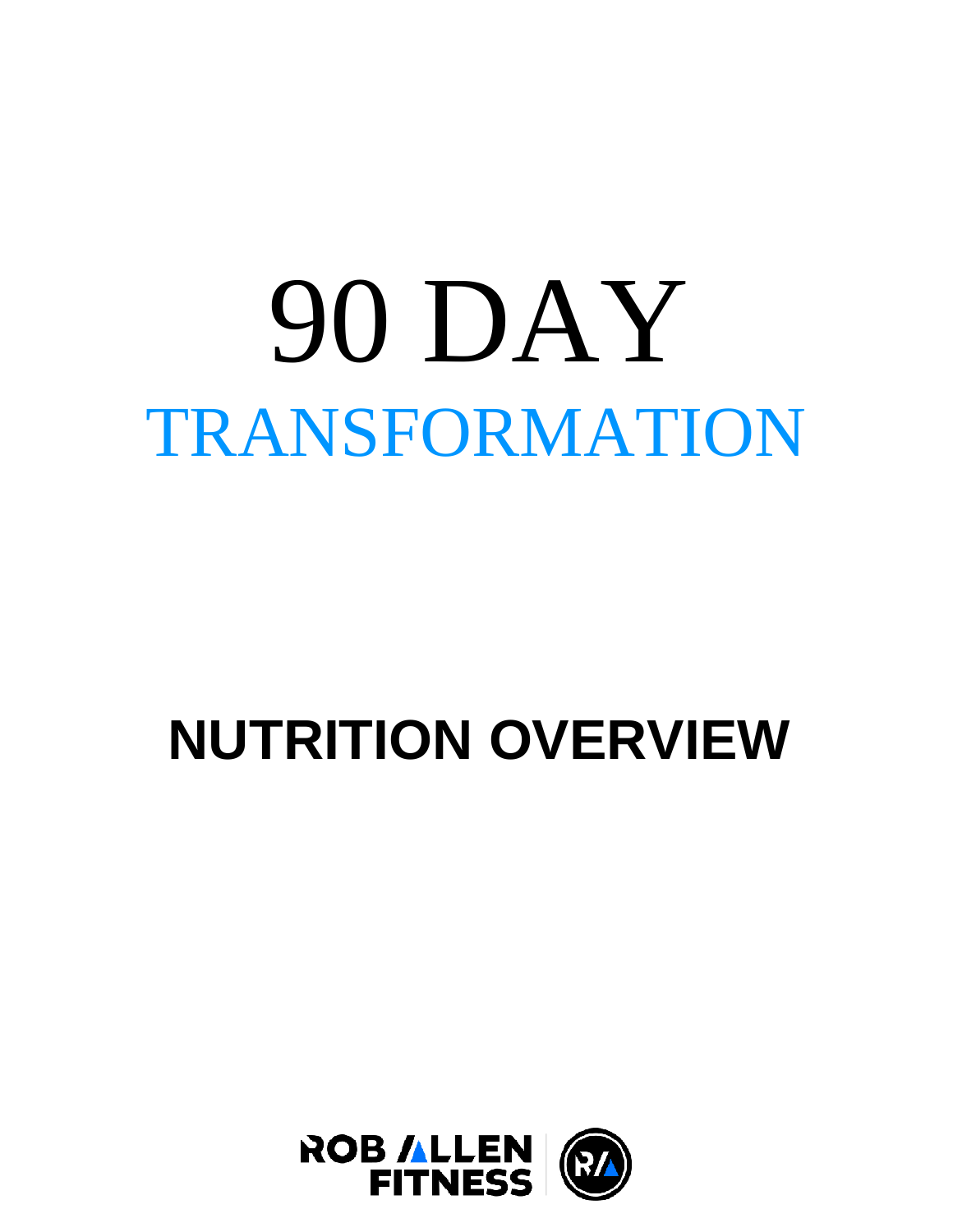# 90 DAY TRANSFORMATION

## **NUTRITION OVERVIEW**

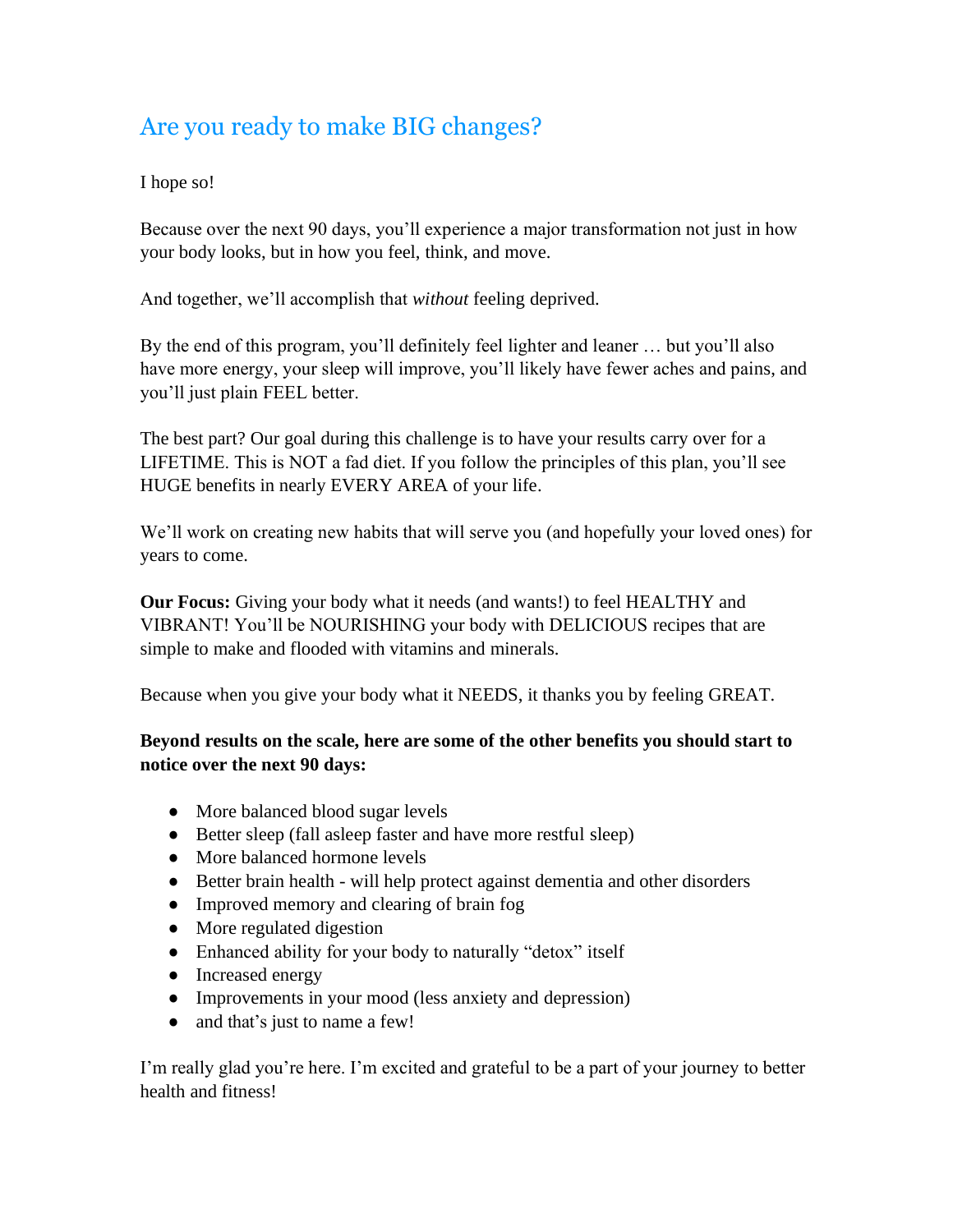#### Are you ready to make BIG changes?

#### I hope so!

Because over the next 90 days, you'll experience a major transformation not just in how your body looks, but in how you feel, think, and move.

And together, we'll accomplish that *without* feeling deprived.

By the end of this program, you'll definitely feel lighter and leaner … but you'll also have more energy, your sleep will improve, you'll likely have fewer aches and pains, and you'll just plain FEEL better.

The best part? Our goal during this challenge is to have your results carry over for a LIFETIME. This is NOT a fad diet. If you follow the principles of this plan, you'll see HUGE benefits in nearly EVERY AREA of your life.

We'll work on creating new habits that will serve you (and hopefully your loved ones) for years to come.

**Our Focus:** Giving your body what it needs (and wants!) to feel HEALTHY and VIBRANT! You'll be NOURISHING your body with DELICIOUS recipes that are simple to make and flooded with vitamins and minerals.

Because when you give your body what it NEEDS, it thanks you by feeling GREAT.

#### **Beyond results on the scale, here are some of the other benefits you should start to notice over the next 90 days:**

- More balanced blood sugar levels
- Better sleep (fall asleep faster and have more restful sleep)
- More balanced hormone levels
- Better brain health will help protect against dementia and other disorders
- Improved memory and clearing of brain fog
- More regulated digestion
- Enhanced ability for your body to naturally "detox" itself
- Increased energy
- Improvements in your mood (less anxiety and depression)
- and that's just to name a few!

I'm really glad you're here. I'm excited and grateful to be a part of your journey to better health and fitness!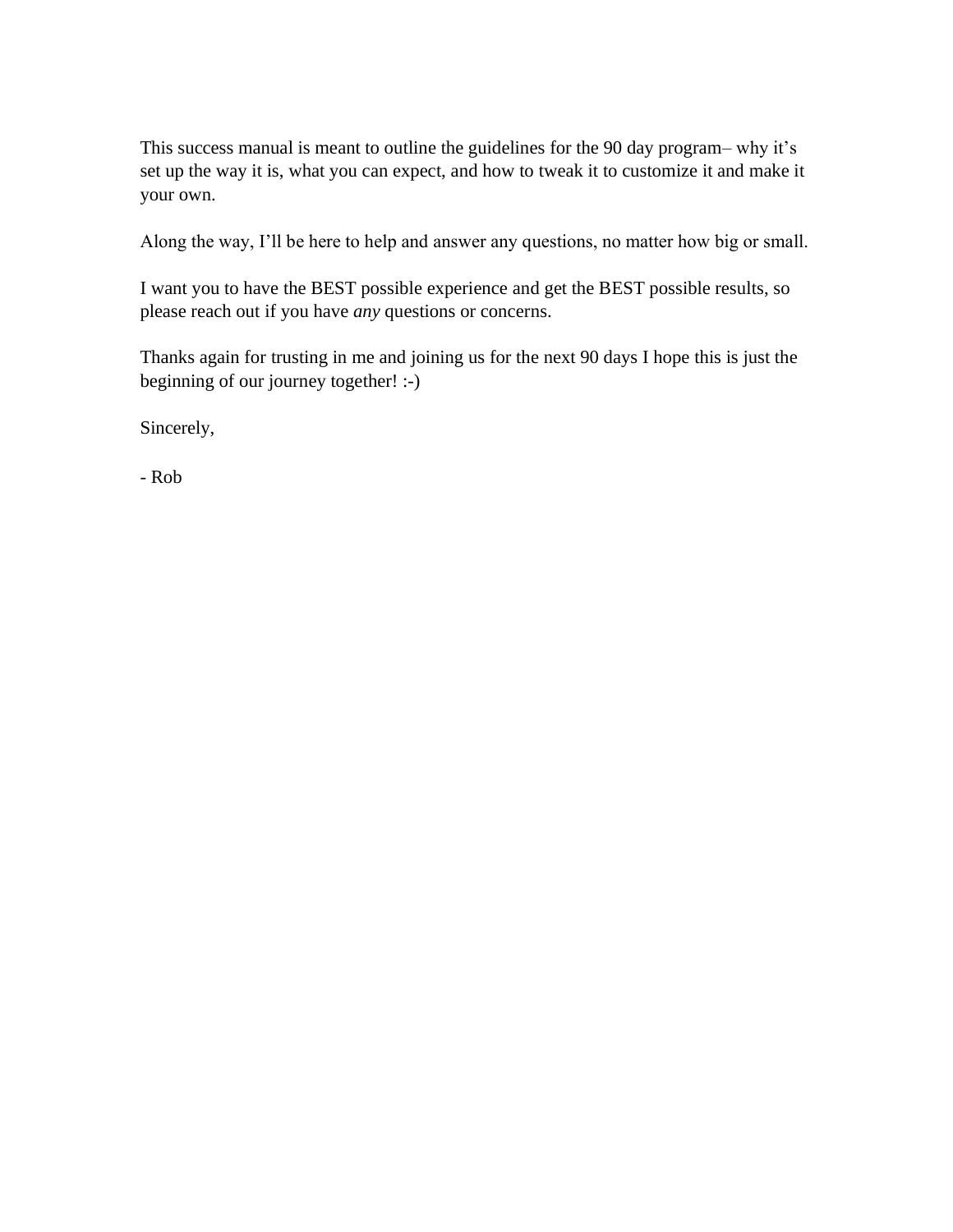This success manual is meant to outline the guidelines for the 90 day program– why it's set up the way it is, what you can expect, and how to tweak it to customize it and make it your own.

Along the way, I'll be here to help and answer any questions, no matter how big or small.

I want you to have the BEST possible experience and get the BEST possible results, so please reach out if you have *any* questions or concerns.

Thanks again for trusting in me and joining us for the next 90 days I hope this is just the beginning of our journey together! :-)

Sincerely,

- Rob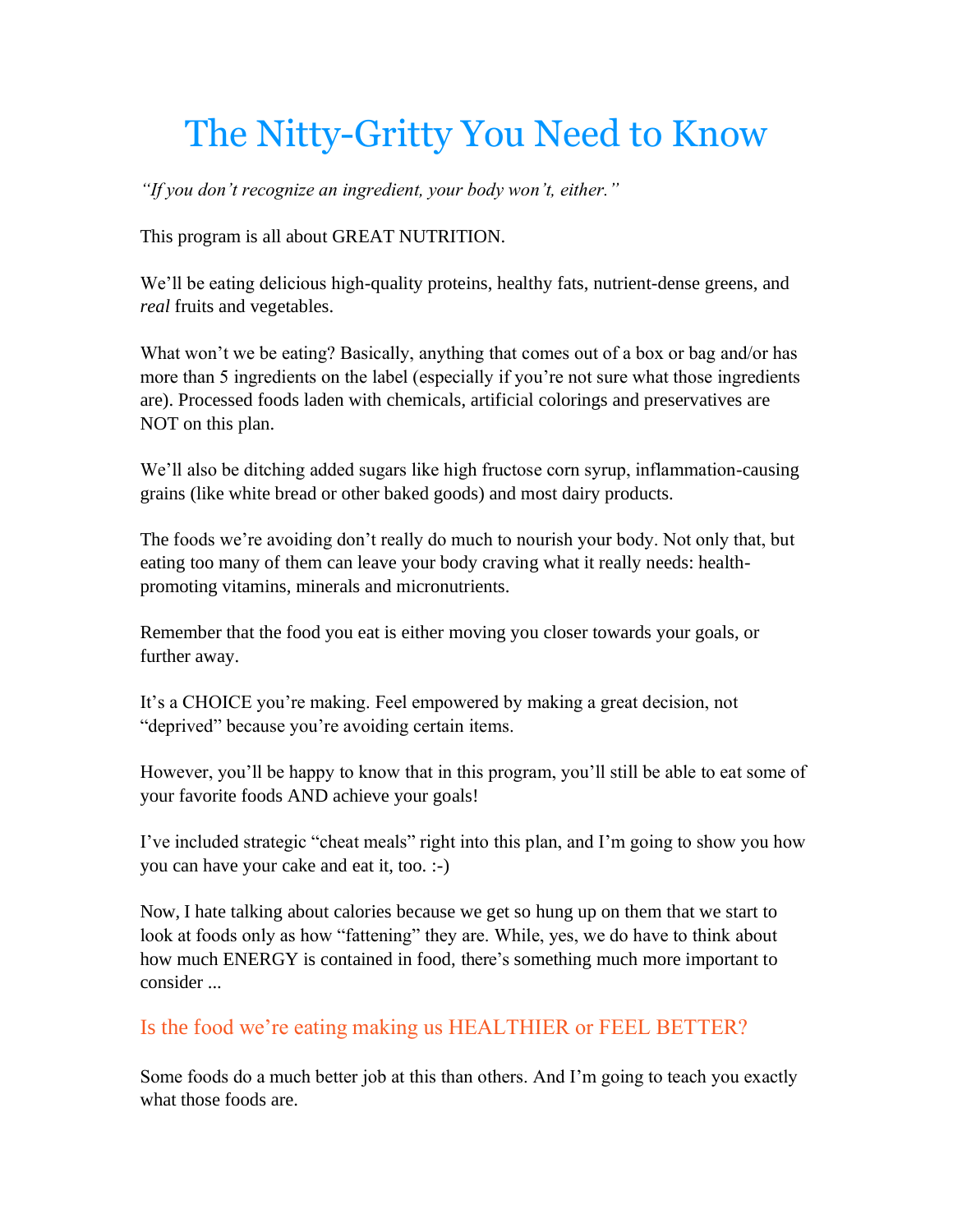## The Nitty-Gritty You Need to Know

*"If you don't recognize an ingredient, your body won't, either."*

This program is all about GREAT NUTRITION.

We'll be eating delicious high-quality proteins, healthy fats, nutrient-dense greens, and *real* fruits and vegetables.

What won't we be eating? Basically, anything that comes out of a box or bag and/or has more than 5 ingredients on the label (especially if you're not sure what those ingredients are). Processed foods laden with chemicals, artificial colorings and preservatives are NOT on this plan.

We'll also be ditching added sugars like high fructose corn syrup, inflammation-causing grains (like white bread or other baked goods) and most dairy products.

The foods we're avoiding don't really do much to nourish your body. Not only that, but eating too many of them can leave your body craving what it really needs: healthpromoting vitamins, minerals and micronutrients.

Remember that the food you eat is either moving you closer towards your goals, or further away.

It's a CHOICE you're making. Feel empowered by making a great decision, not "deprived" because you're avoiding certain items.

However, you'll be happy to know that in this program, you'll still be able to eat some of your favorite foods AND achieve your goals!

I've included strategic "cheat meals" right into this plan, and I'm going to show you how you can have your cake and eat it, too. :-)

Now, I hate talking about calories because we get so hung up on them that we start to look at foods only as how "fattening" they are. While, yes, we do have to think about how much ENERGY is contained in food, there's something much more important to consider ...

Is the food we're eating making us HEALTHIER or FEEL BETTER?

Some foods do a much better job at this than others. And I'm going to teach you exactly what those foods are.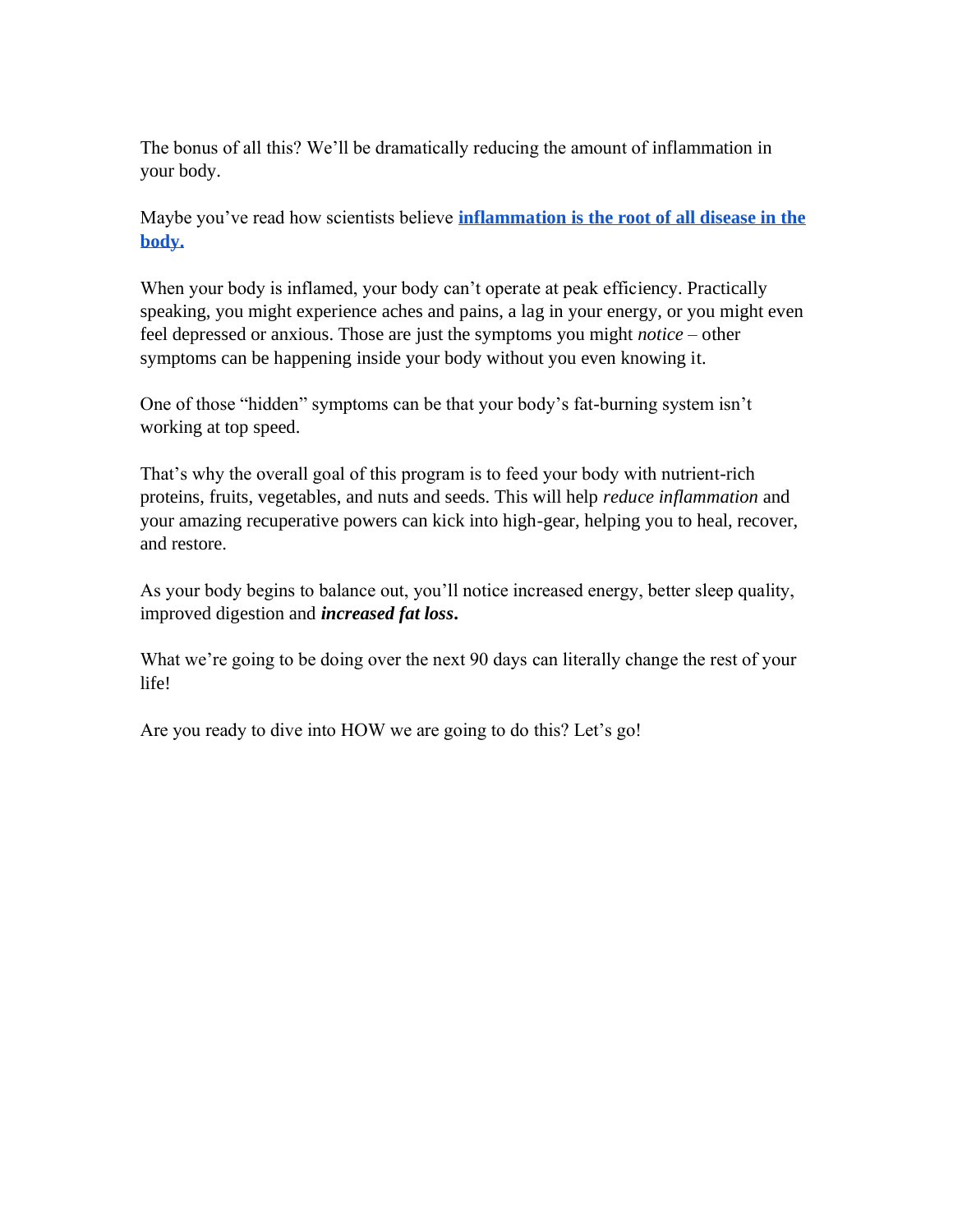The bonus of all this? We'll be dramatically reducing the amount of inflammation in your body.

Maybe you've read how scientists believe **inflammation is the root of all disease in the body.**

When your body is inflamed, your body can't operate at peak efficiency. Practically speaking, you might experience aches and pains, a lag in your energy, or you might even feel depressed or anxious. Those are just the symptoms you might *notice* – other symptoms can be happening inside your body without you even knowing it.

One of those "hidden" symptoms can be that your body's fat-burning system isn't working at top speed.

That's why the overall goal of this program is to feed your body with nutrient-rich proteins, fruits, vegetables, and nuts and seeds. This will help *reduce inflammation* and your amazing recuperative powers can kick into high-gear, helping you to heal, recover, and restore.

As your body begins to balance out, you'll notice increased energy, better sleep quality, improved digestion and *increased fat loss***.**

What we're going to be doing over the next 90 days can literally change the rest of your life!

Are you ready to dive into HOW we are going to do this? Let's go!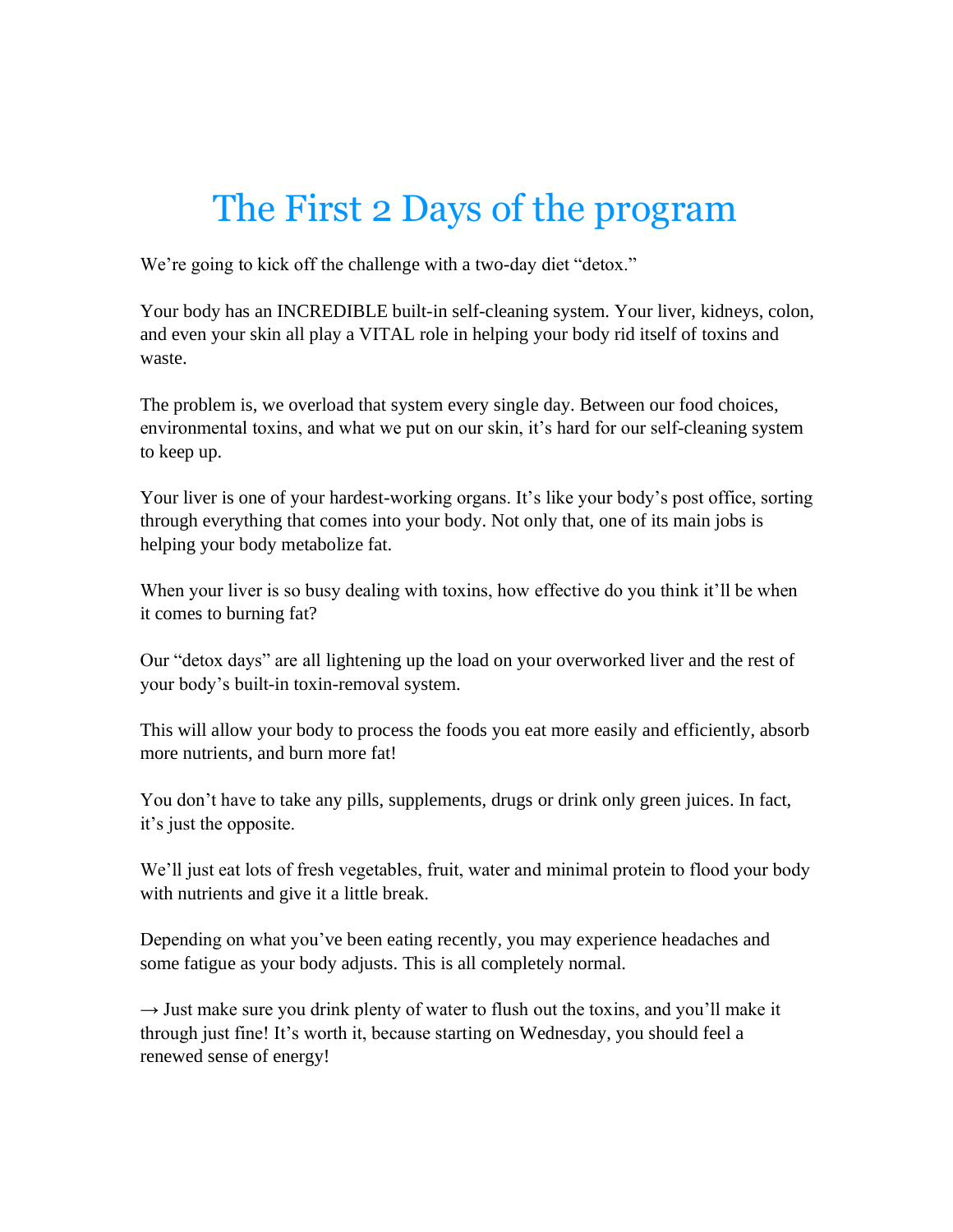## The First 2 Days of the program

We're going to kick off the challenge with a two-day diet "detox."

Your body has an INCREDIBLE built-in self-cleaning system. Your liver, kidneys, colon, and even your skin all play a VITAL role in helping your body rid itself of toxins and waste.

The problem is, we overload that system every single day. Between our food choices, environmental toxins, and what we put on our skin, it's hard for our self-cleaning system to keep up.

Your liver is one of your hardest-working organs. It's like your body's post office, sorting through everything that comes into your body. Not only that, one of its main jobs is helping your body metabolize fat.

When your liver is so busy dealing with toxins, how effective do you think it'll be when it comes to burning fat?

Our "detox days" are all lightening up the load on your overworked liver and the rest of your body's built-in toxin-removal system.

This will allow your body to process the foods you eat more easily and efficiently, absorb more nutrients, and burn more fat!

You don't have to take any pills, supplements, drugs or drink only green juices. In fact, it's just the opposite.

We'll just eat lots of fresh vegetables, fruit, water and minimal protein to flood your body with nutrients and give it a little break.

Depending on what you've been eating recently, you may experience headaches and some fatigue as your body adjusts. This is all completely normal.

 $\rightarrow$  Just make sure you drink plenty of water to flush out the toxins, and you'll make it through just fine! It's worth it, because starting on Wednesday, you should feel a renewed sense of energy!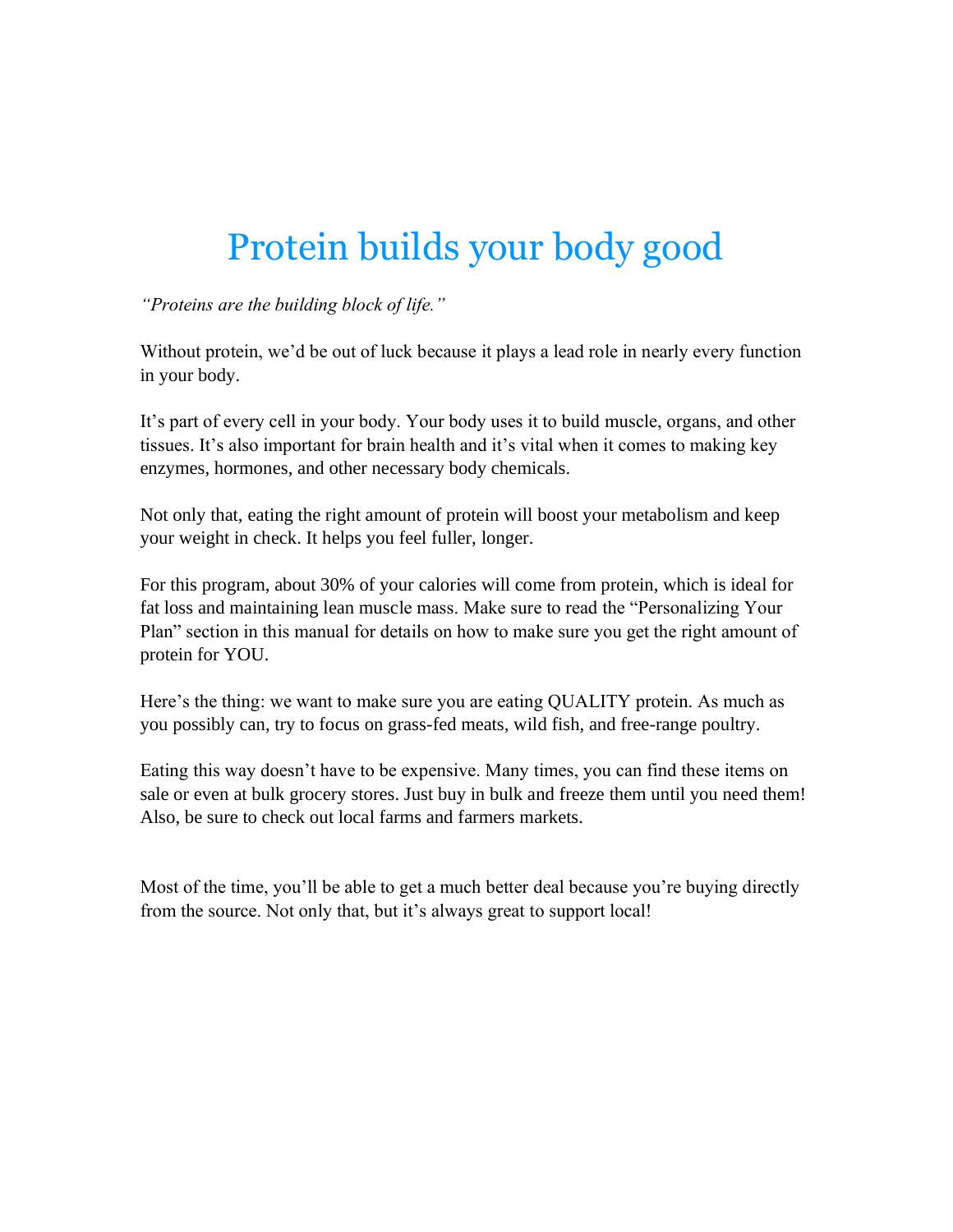## Protein builds your body good

*"Proteins are the building block of life."*

Without protein, we'd be out of luck because it plays a lead role in nearly every function in your body.

It's part of every cell in your body. Your body uses it to build muscle, organs, and other tissues. It's also important for brain health and it's vital when it comes to making key enzymes, hormones, and other necessary body chemicals.

Not only that, eating the right amount of protein will boost your metabolism and keep your weight in check. It helps you feel fuller, longer.

For this program, about 30% of your calories will come from protein, which is ideal for fat loss and maintaining lean muscle mass. Make sure to read the "Personalizing Your Plan" section in this manual for details on how to make sure you get the right amount of protein for YOU.

Here's the thing: we want to make sure you are eating QUALITY protein. As much as you possibly can, try to focus on grass-fed meats, wild fish, and free-range poultry.

Eating this way doesn't have to be expensive. Many times, you can find these items on sale or even at bulk grocery stores. Just buy in bulk and freeze them until you need them! Also, be sure to check out local farms and farmers markets.

Most of the time, you'll be able to get a much better deal because you're buying directly from the source. Not only that, but it's always great to support local!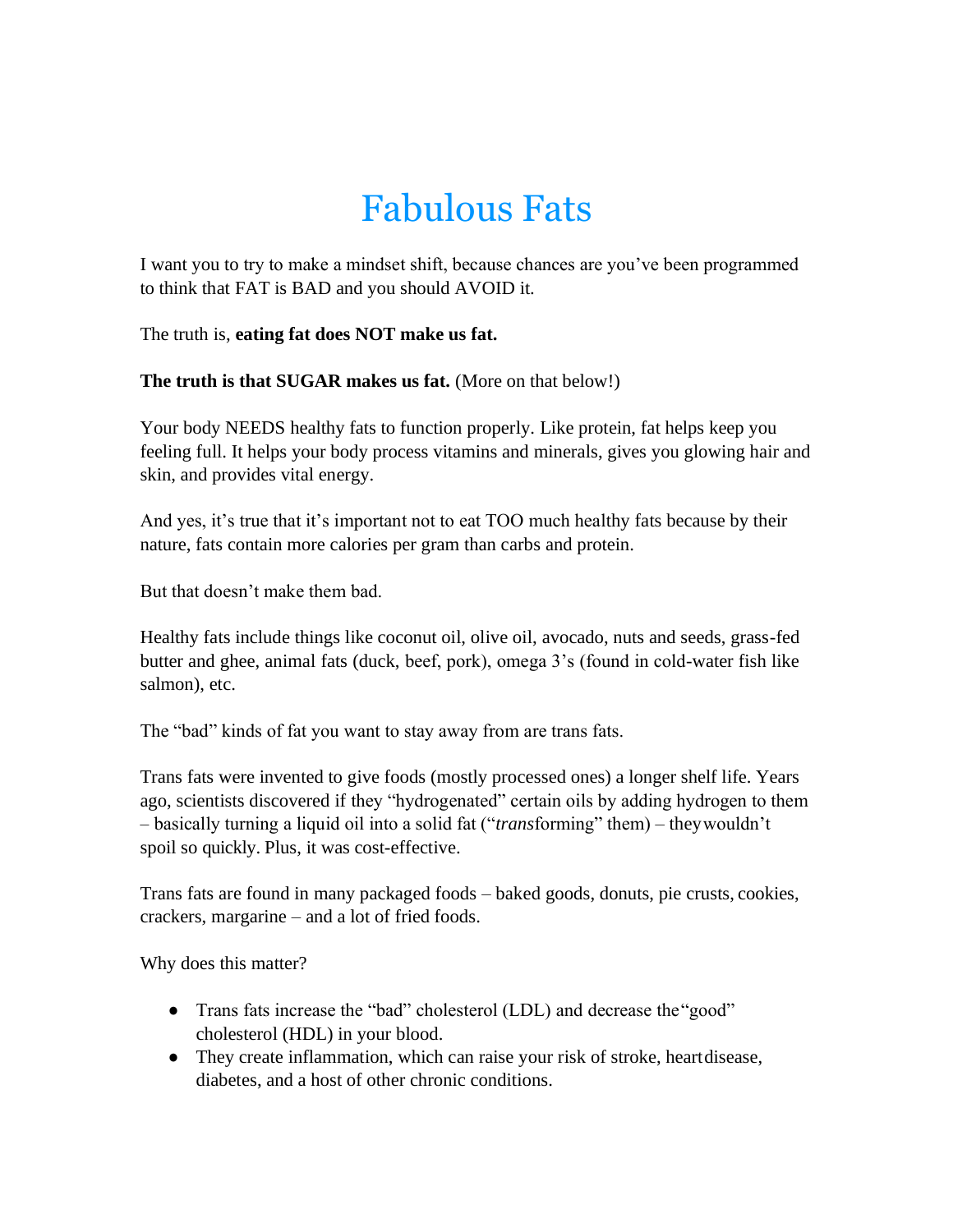## Fabulous Fats

I want you to try to make a mindset shift, because chances are you've been programmed to think that FAT is BAD and you should AVOID it.

The truth is, **eating fat does NOT make us fat.**

**The truth is that SUGAR makes us fat.** (More on that below!)

Your body NEEDS healthy fats to function properly. Like protein, fat helps keep you feeling full. It helps your body process vitamins and minerals, gives you glowing hair and skin, and provides vital energy.

And yes, it's true that it's important not to eat TOO much healthy fats because by their nature, fats contain more calories per gram than carbs and protein.

But that doesn't make them bad.

Healthy fats include things like coconut oil, olive oil, avocado, nuts and seeds, grass-fed butter and ghee, animal fats (duck, beef, pork), omega 3's (found in cold-water fish like salmon), etc.

The "bad" kinds of fat you want to stay away from are trans fats.

Trans fats were invented to give foods (mostly processed ones) a longer shelf life. Years ago, scientists discovered if they "hydrogenated" certain oils by adding hydrogen to them – basically turning a liquid oil into a solid fat ("*trans*forming" them) – theywouldn't spoil so quickly. Plus, it was cost-effective.

Trans fats are found in many packaged foods – baked goods, donuts, pie crusts, cookies, crackers, margarine – and a lot of fried foods.

Why does this matter?

- Trans fats increase the "bad" cholesterol (LDL) and decrease the "good" cholesterol (HDL) in your blood.
- They create inflammation, which can raise your risk of stroke, heartdisease, diabetes, and a host of other chronic conditions.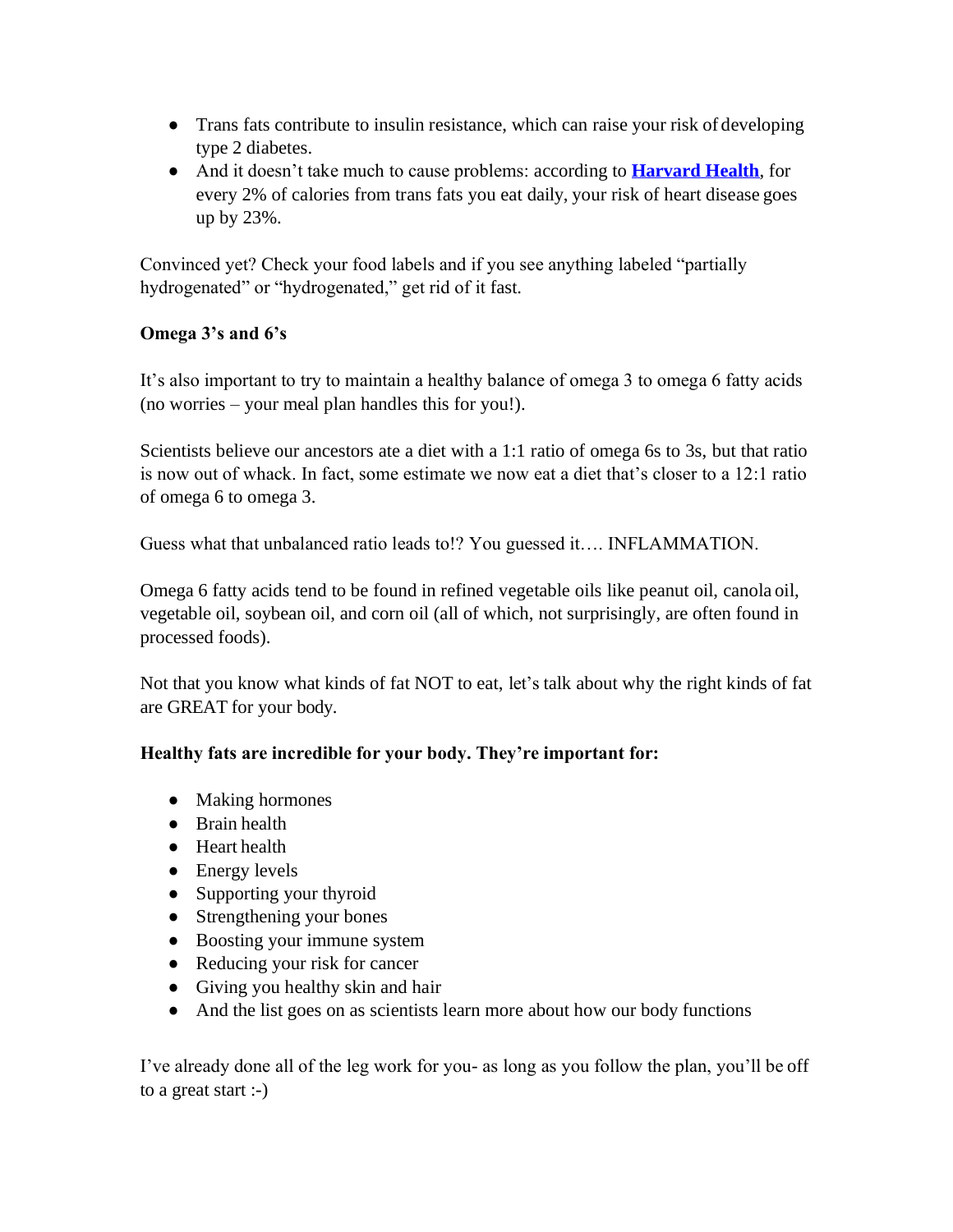- Trans fats contribute to insulin resistance, which can raise your risk of developing type 2 diabetes.
- And it doesn't take much to cause problems: according to **Harvard Health**, for every 2% of calories from trans fats you eat daily, your risk of heart disease goes up by 23%.

Convinced yet? Check your food labels and if you see anything labeled "partially hydrogenated" or "hydrogenated," get rid of it fast.

#### **Omega 3's and 6's**

It's also important to try to maintain a healthy balance of omega 3 to omega 6 fatty acids (no worries – your meal plan handles this for you!).

Scientists believe our ancestors ate a diet with a 1:1 ratio of omega 6s to 3s, but that ratio is now out of whack. In fact, some estimate we now eat a diet that's closer to a 12:1 ratio of omega 6 to omega 3.

Guess what that unbalanced ratio leads to!? You guessed it…. INFLAMMATION.

Omega 6 fatty acids tend to be found in refined vegetable oils like peanut oil, canola oil, vegetable oil, soybean oil, and corn oil (all of which, not surprisingly, are often found in processed foods).

Not that you know what kinds of fat NOT to eat, let's talk about why the right kinds of fat are GREAT for your body.

#### **Healthy fats are incredible for your body. They're important for:**

- Making hormones
- Brain health
- Heart health
- $\bullet$  Energy levels
- Supporting your thyroid
- Strengthening your bones
- Boosting your immune system
- Reducing your risk for cancer
- Giving you healthy skin and hair
- And the list goes on as scientists learn more about how our body functions

I've already done all of the leg work for you- as long as you follow the plan, you'll be off to a great start :-)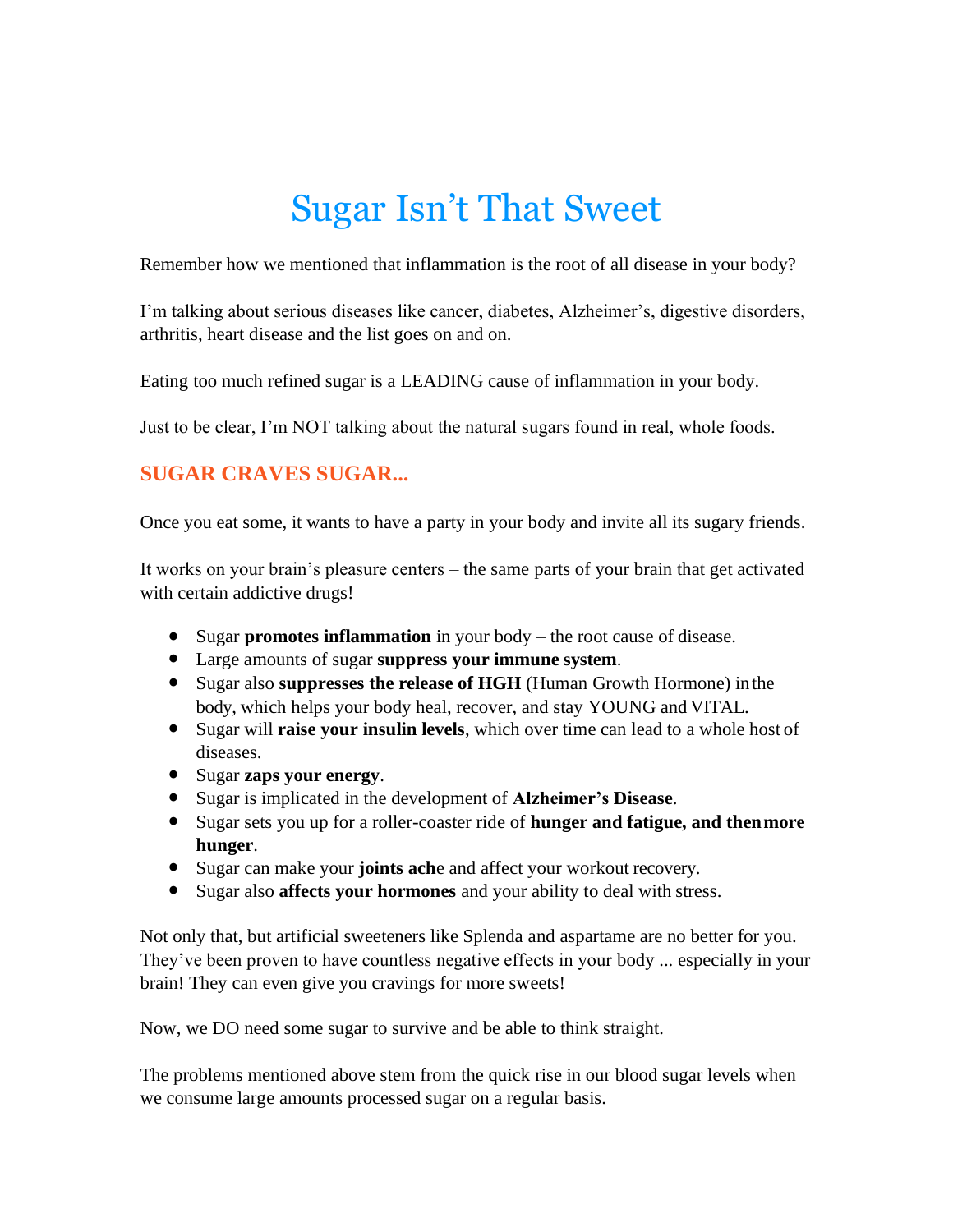## Sugar Isn't That Sweet

Remember how we mentioned that inflammation is the root of all disease in your body?

I'm talking about serious diseases like cancer, diabetes, Alzheimer's, digestive disorders, arthritis, heart disease and the list goes on and on.

Eating too much refined sugar is a LEADING cause of inflammation in your body.

Just to be clear, I'm NOT talking about the natural sugars found in real, whole foods.

#### **SUGAR CRAVES SUGAR...**

Once you eat some, it wants to have a party in your body and invite all its sugary friends.

It works on your brain's pleasure centers – the same parts of your brain that get activated with certain addictive drugs!

- Sugar **promotes inflammation** in your body the root cause of disease.
- Large amounts of sugar **suppress your immune system**.
- Sugar also **suppresses the release of HGH** (Human Growth Hormone) inthe body, which helps your body heal, recover, and stay YOUNG and VITAL.
- Sugar will **raise your insulin levels**, which over time can lead to a whole host of diseases.
- Sugar **zaps your energy**.
- Sugar is implicated in the development of **Alzheimer's Disease**.
- Sugar sets you up for a roller-coaster ride of **hunger and fatigue, and thenmore hunger**.
- Sugar can make your **joints ach**e and affect your workout recovery.
- Sugar also **affects your hormones** and your ability to deal with stress.

Not only that, but artificial sweeteners like Splenda and aspartame are no better for you. They've been proven to have countless negative effects in your body ... especially in your brain! They can even give you cravings for more sweets!

Now, we DO need some sugar to survive and be able to think straight.

The problems mentioned above stem from the quick rise in our blood sugar levels when we consume large amounts processed sugar on a regular basis.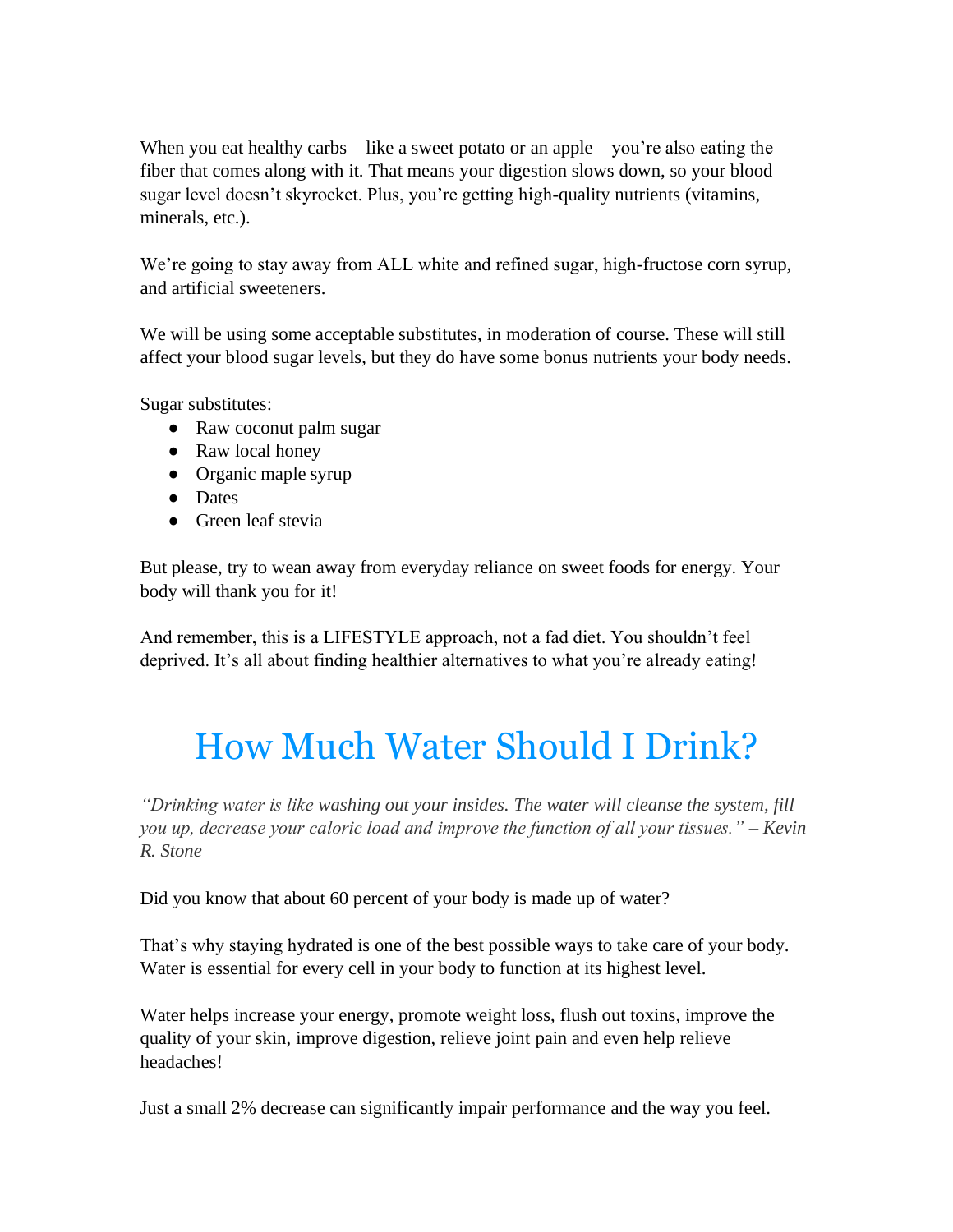When you eat healthy carbs – like a sweet potato or an apple – you're also eating the fiber that comes along with it. That means your digestion slows down, so your blood sugar level doesn't skyrocket. Plus, you're getting high-quality nutrients (vitamins, minerals, etc.).

We're going to stay away from ALL white and refined sugar, high-fructose corn syrup, and artificial sweeteners.

We will be using some acceptable substitutes, in moderation of course. These will still affect your blood sugar levels, but they do have some bonus nutrients your body needs.

Sugar substitutes:

- Raw coconut palm sugar
- Raw local honey
- Organic maple syrup
- Dates
- Green leaf stevia

But please, try to wean away from everyday reliance on sweet foods for energy. Your body will thank you for it!

And remember, this is a LIFESTYLE approach, not a fad diet. You shouldn't feel deprived. It's all about finding healthier alternatives to what you're already eating!

## How Much Water Should I Drink?

*"Drinking water is like washing out your insides. The water will cleanse the system, fill you up, decrease your caloric load and improve the function of all your tissues." – Kevin R. Stone*

Did you know that about 60 percent of your body is made up of water?

That's why staying hydrated is one of the best possible ways to take care of your body. Water is essential for every cell in your body to function at its highest level.

Water helps increase your energy, promote weight loss, flush out toxins, improve the quality of your skin, improve digestion, relieve joint pain and even help relieve headaches!

Just a small 2% decrease can significantly impair performance and the way you feel.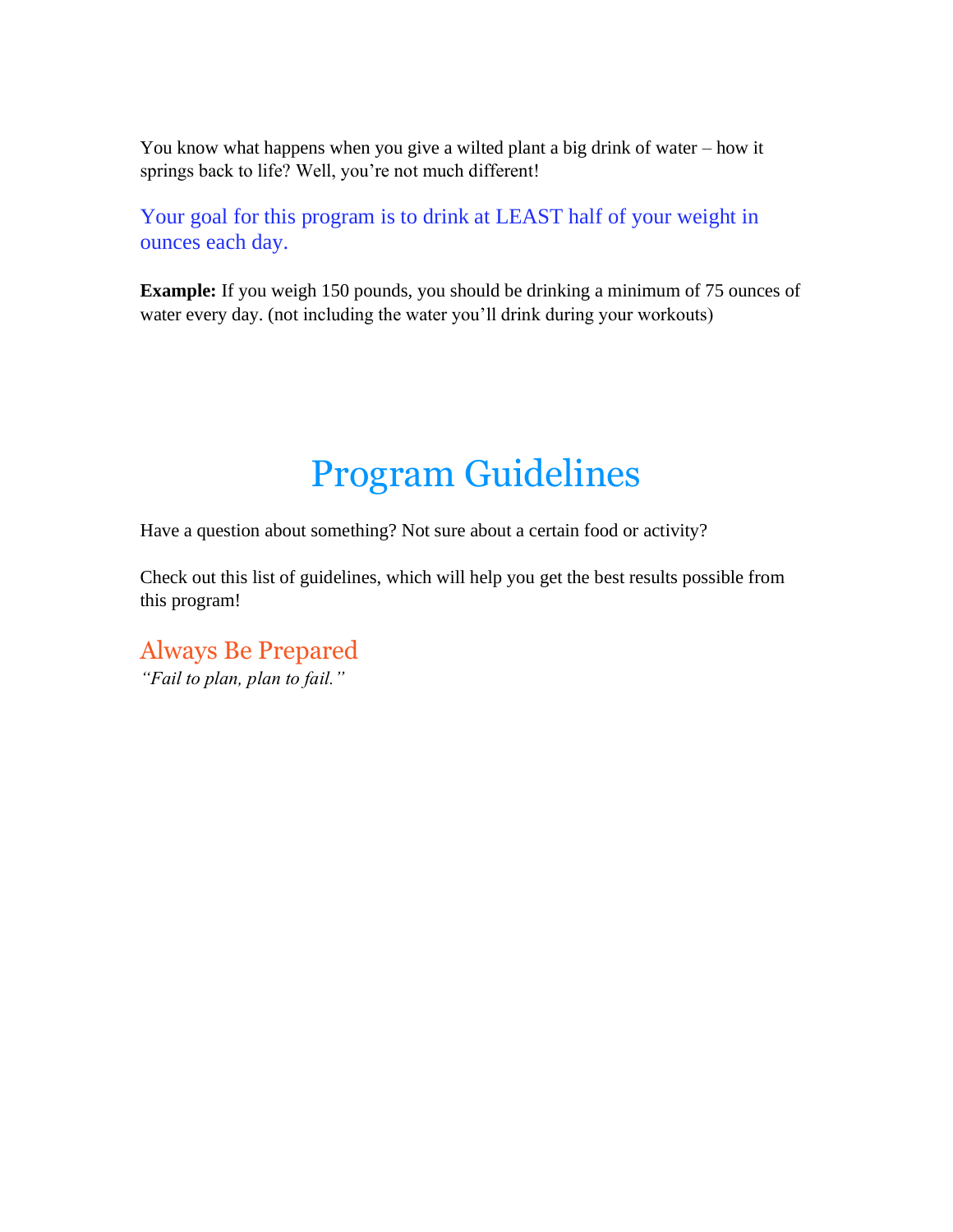You know what happens when you give a wilted plant a big drink of water – how it springs back to life? Well, you're not much different!

Your goal for this program is to drink at LEAST half of your weight in ounces each day.

**Example:** If you weigh 150 pounds, you should be drinking a minimum of 75 ounces of water every day. (not including the water you'll drink during your workouts)

### Program Guidelines

Have a question about something? Not sure about a certain food or activity?

Check out this list of guidelines, which will help you get the best results possible from this program!

Always Be Prepared *"Fail to plan, plan to fail."*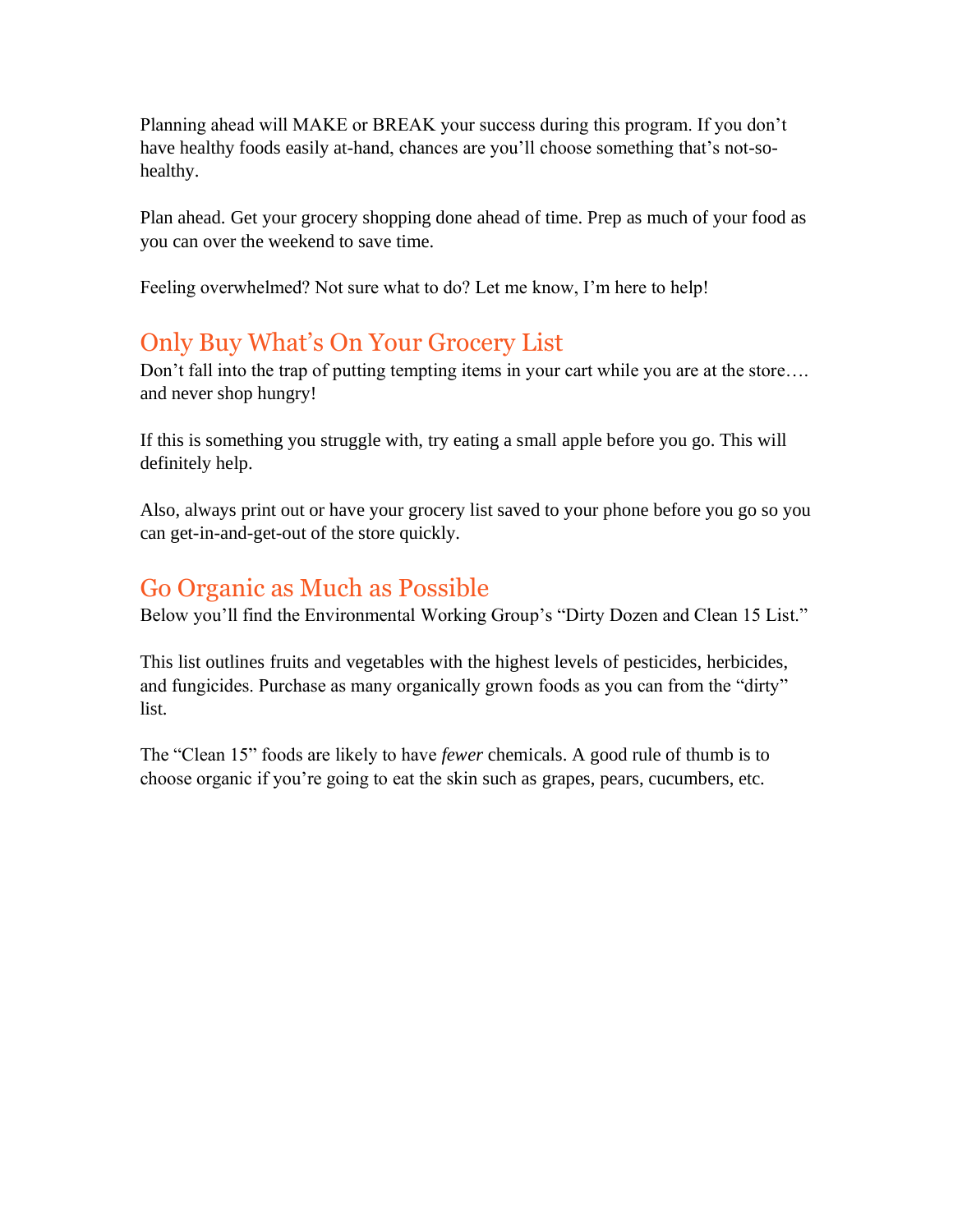Planning ahead will MAKE or BREAK your success during this program. If you don't have healthy foods easily at-hand, chances are you'll choose something that's not-sohealthy.

Plan ahead. Get your grocery shopping done ahead of time. Prep as much of your food as you can over the weekend to save time.

Feeling overwhelmed? Not sure what to do? Let me know, I'm here to help!

#### Only Buy What's On Your Grocery List

Don't fall into the trap of putting tempting items in your cart while you are at the store.... and never shop hungry!

If this is something you struggle with, try eating a small apple before you go. This will definitely help.

Also, always print out or have your grocery list saved to your phone before you go so you can get-in-and-get-out of the store quickly.

#### Go Organic as Much as Possible

Below you'll find the Environmental Working Group's "Dirty Dozen and Clean 15 List."

This list outlines fruits and vegetables with the highest levels of pesticides, herbicides, and fungicides. Purchase as many organically grown foods as you can from the "dirty" list.

The "Clean 15" foods are likely to have *fewer* chemicals. A good rule of thumb is to choose organic if you're going to eat the skin such as grapes, pears, cucumbers, etc.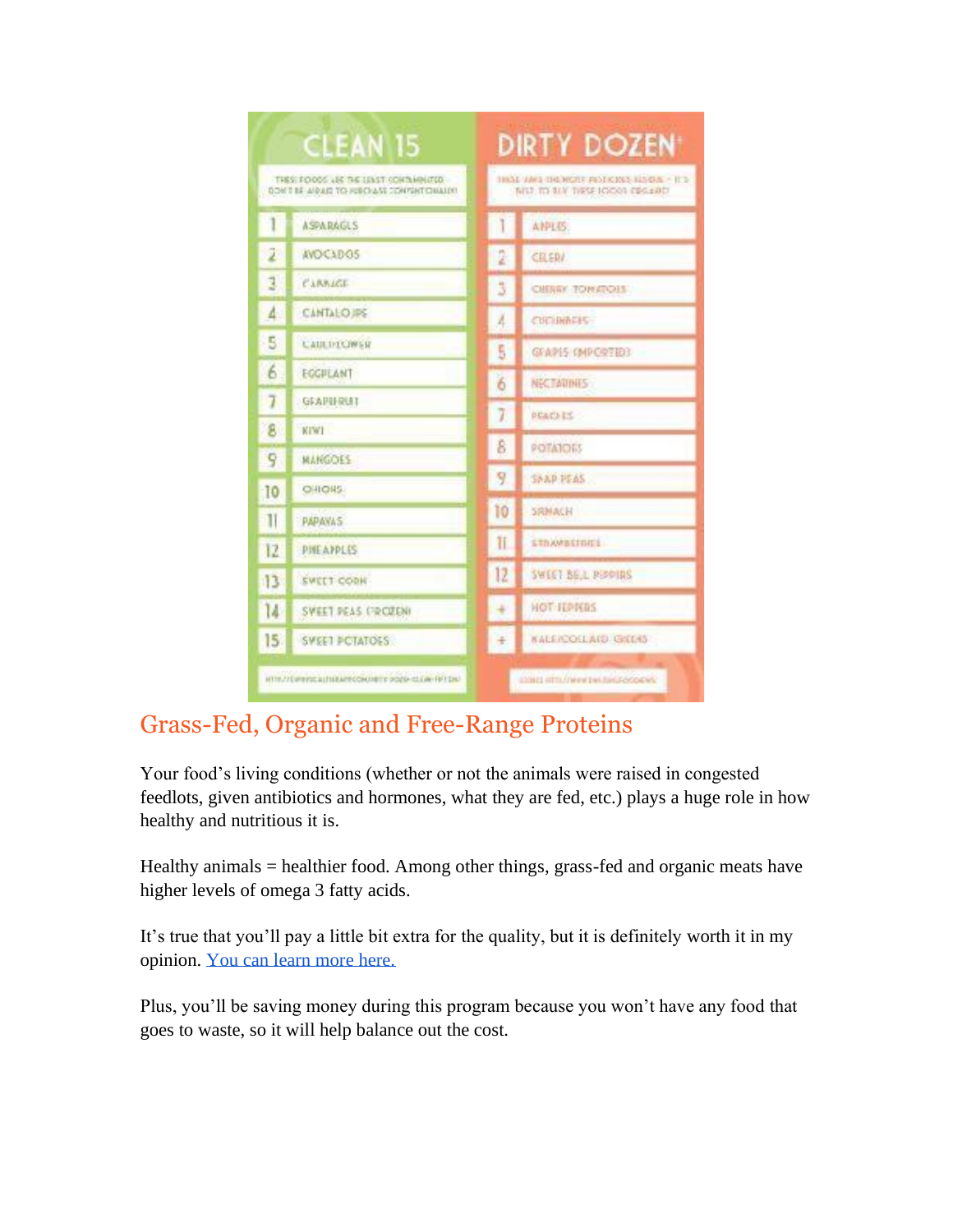| <b>CLEAN 15</b>                                                                       |                                                     | DIRTY DOZEN                                                                   |                                    |  |
|---------------------------------------------------------------------------------------|-----------------------------------------------------|-------------------------------------------------------------------------------|------------------------------------|--|
| THES: FOODS LIK THE LENST CONTINUITED.<br>BOW T BE ARREST TO RESOLASE CONTENT CHALLY! |                                                     | THAN VARS THE HOSE PHOTICIOUS RESIDIE A RED.<br>MS2 TO BLV TIRSP JODGE ERG18D |                                    |  |
| T                                                                                     | <b>ASPARAGLS</b>                                    | 1                                                                             | AMPLES:                            |  |
| 2                                                                                     | AVOCADO5                                            | 2                                                                             | CILERA                             |  |
| 14                                                                                    | CARRAGE                                             | 3                                                                             | CHERRY TOWATOH                     |  |
| 4.                                                                                    | <b>CANTALO IPS</b>                                  | A                                                                             | CUCHNAFIS-                         |  |
| 5                                                                                     | <b>CAULINIOWER</b>                                  | 5                                                                             | GFAPIS (MPCRTEE)                   |  |
| 6.                                                                                    | EGGILLANT                                           | 6                                                                             | NECTADINES:                        |  |
| 7                                                                                     | GEAPHRUT                                            | 7                                                                             | <b>PEACATS</b>                     |  |
| 8.                                                                                    | KIWI                                                | 8                                                                             | <b>POTATOES</b>                    |  |
| q                                                                                     | <b>MANGOES</b>                                      | 9                                                                             |                                    |  |
| 10                                                                                    | <b>OHIOHS:</b>                                      |                                                                               | SNAP-PEAS                          |  |
| 11                                                                                    | <b>PAPAYAS</b>                                      | 10                                                                            | <b>SRNACH</b>                      |  |
| 12                                                                                    | PHEAPPLES.                                          | Ħ                                                                             | <b>STROMBSTORES</b>                |  |
| 13                                                                                    | <b>SWEET CODK</b>                                   | 12                                                                            | <b>SWEET BELL PIPPINS</b>          |  |
| 14                                                                                    | SWEET PEAS (FROZEN)                                 |                                                                               | HOT HEARDS                         |  |
| 15 <sub>1</sub>                                                                       | SWEET PCTATOES                                      | ¥                                                                             | KALE/COLLAID, GIGLAS               |  |
|                                                                                       | HTTP://DIRWINSLELTILRAPPODINTETY 0020-13.EAK-RFTEN/ |                                                                               | COMES ARTS//WWW.EWI-EWILF-PODARWIN |  |

#### Grass-Fed, Organic and Free-Range Proteins

Your food's living conditions (whether or not the animals were raised in congested feedlots, given antibiotics and hormones, what they are fed, etc.) plays a huge role in how healthy and nutritious it is.

Healthy animals = healthier food. Among other things, grass-fed and organic meats have higher levels of omega 3 fatty acids.

It's true that you'll pay a little bit extra for the quality, but it is definitely worth it in my opinion. You can learn more here.

Plus, you'll be saving money during this program because you won't have any food that goes to waste, so it will help balance out the cost.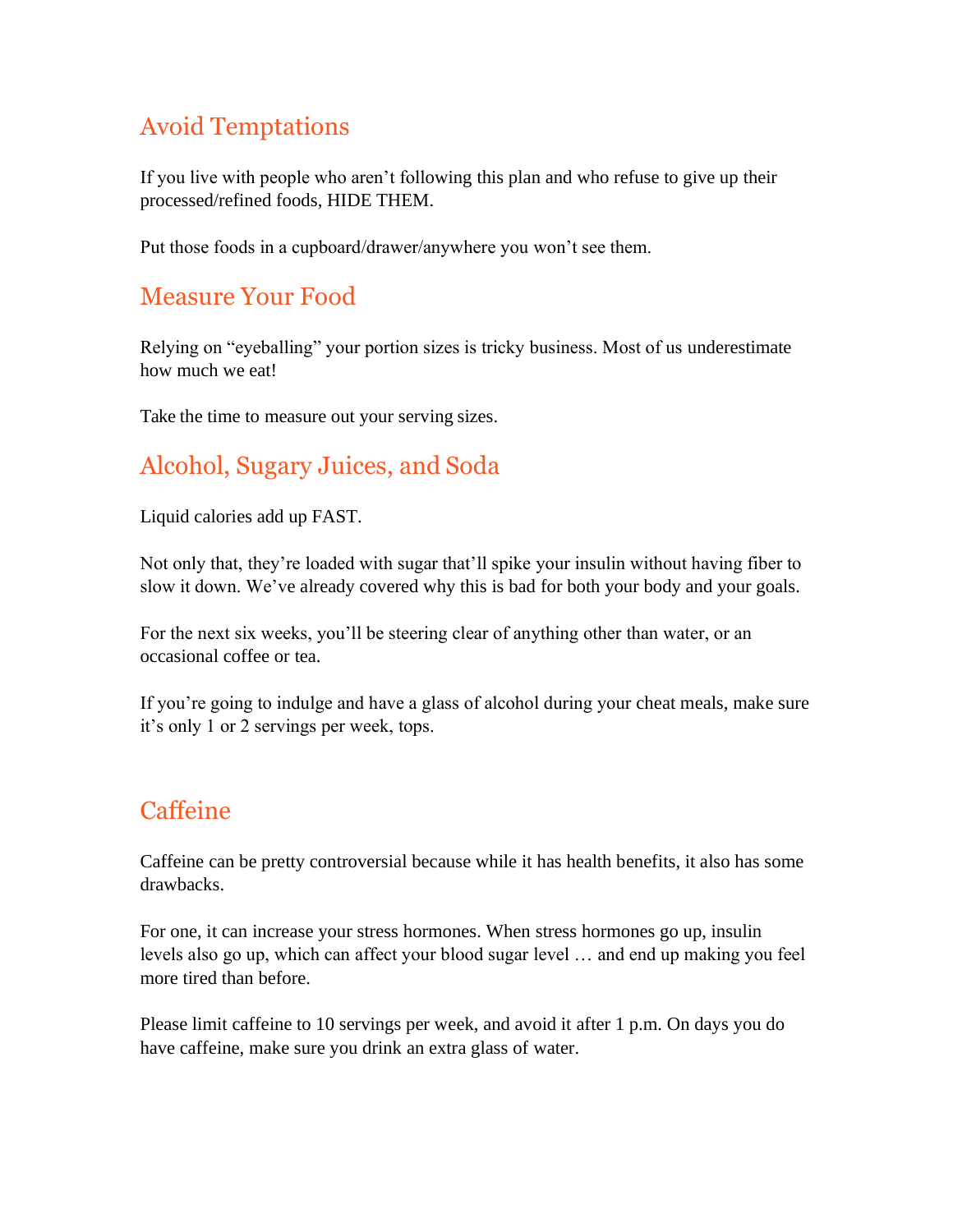#### Avoid Temptations

If you live with people who aren't following this plan and who refuse to give up their processed/refined foods, HIDE THEM.

Put those foods in a cupboard/drawer/anywhere you won't see them.

#### Measure Your Food

Relying on "eyeballing" your portion sizes is tricky business. Most of us underestimate how much we eat!

Take the time to measure out your serving sizes.

#### Alcohol, Sugary Juices, and Soda

Liquid calories add up FAST.

Not only that, they're loaded with sugar that'll spike your insulin without having fiber to slow it down. We've already covered why this is bad for both your body and your goals.

For the next six weeks, you'll be steering clear of anything other than water, or an occasional coffee or tea.

If you're going to indulge and have a glass of alcohol during your cheat meals, make sure it's only 1 or 2 servings per week, tops.

#### **Caffeine**

Caffeine can be pretty controversial because while it has health benefits, it also has some drawbacks.

For one, it can increase your stress hormones. When stress hormones go up, insulin levels also go up, which can affect your blood sugar level … and end up making you feel more tired than before.

Please limit caffeine to 10 servings per week, and avoid it after 1 p.m. On days you do have caffeine, make sure you drink an extra glass of water.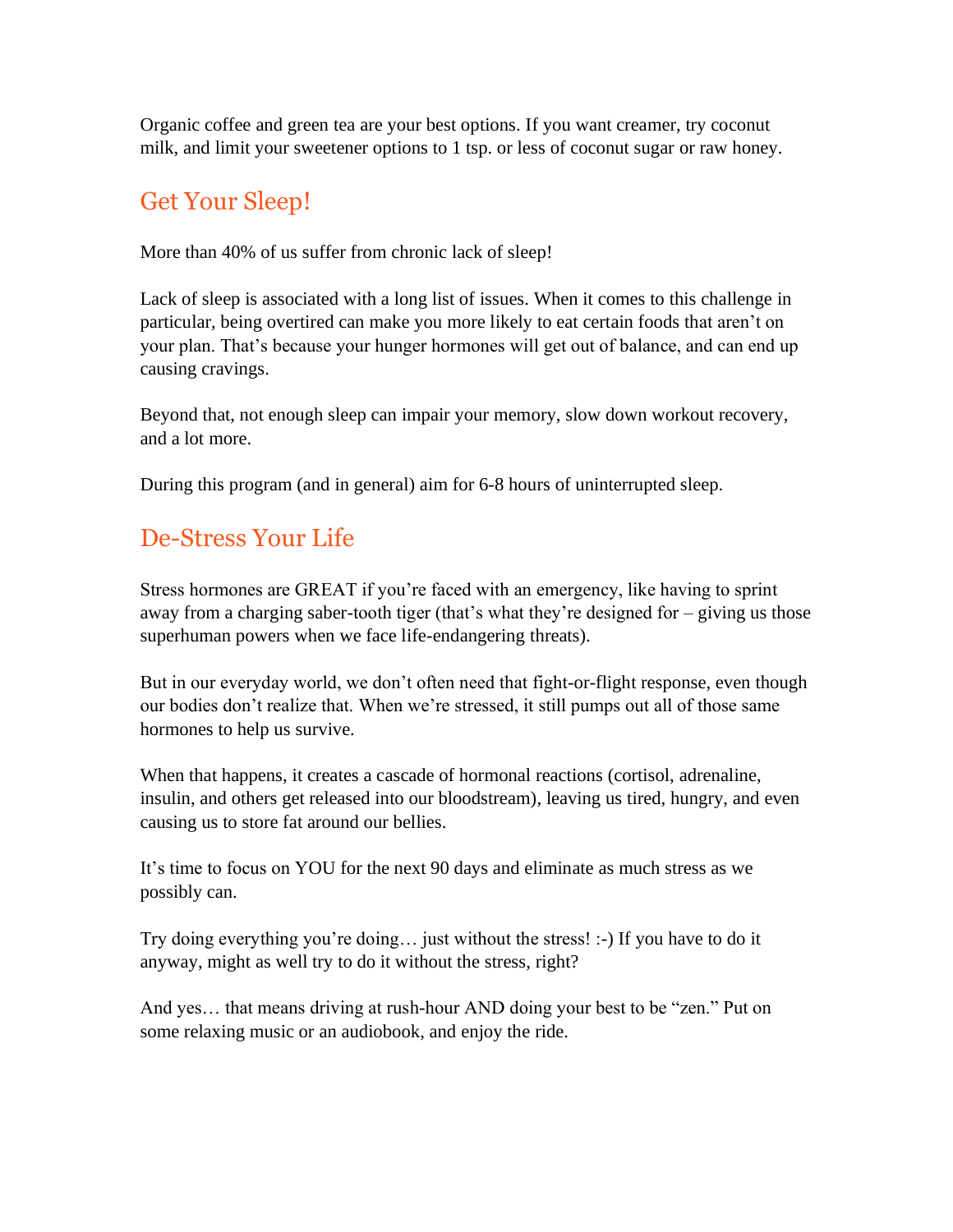Organic coffee and green tea are your best options. If you want creamer, try coconut milk, and limit your sweetener options to 1 tsp. or less of coconut sugar or raw honey.

#### Get Your Sleep!

More than 40% of us suffer from chronic lack of sleep!

Lack of sleep is associated with a long list of issues. When it comes to this challenge in particular, being overtired can make you more likely to eat certain foods that aren't on your plan. That's because your hunger hormones will get out of balance, and can end up causing cravings.

Beyond that, not enough sleep can impair your memory, slow down workout recovery, and a lot more.

During this program (and in general) aim for 6-8 hours of uninterrupted sleep.

#### De-Stress Your Life

Stress hormones are GREAT if you're faced with an emergency, like having to sprint away from a charging saber-tooth tiger (that's what they're designed for – giving us those superhuman powers when we face life-endangering threats).

But in our everyday world, we don't often need that fight-or-flight response, even though our bodies don't realize that. When we're stressed, it still pumps out all of those same hormones to help us survive.

When that happens, it creates a cascade of hormonal reactions (cortisol, adrenaline, insulin, and others get released into our bloodstream), leaving us tired, hungry, and even causing us to store fat around our bellies.

It's time to focus on YOU for the next 90 days and eliminate as much stress as we possibly can.

Try doing everything you're doing… just without the stress! :-) If you have to do it anyway, might as well try to do it without the stress, right?

And yes… that means driving at rush-hour AND doing your best to be "zen." Put on some relaxing music or an audiobook, and enjoy the ride.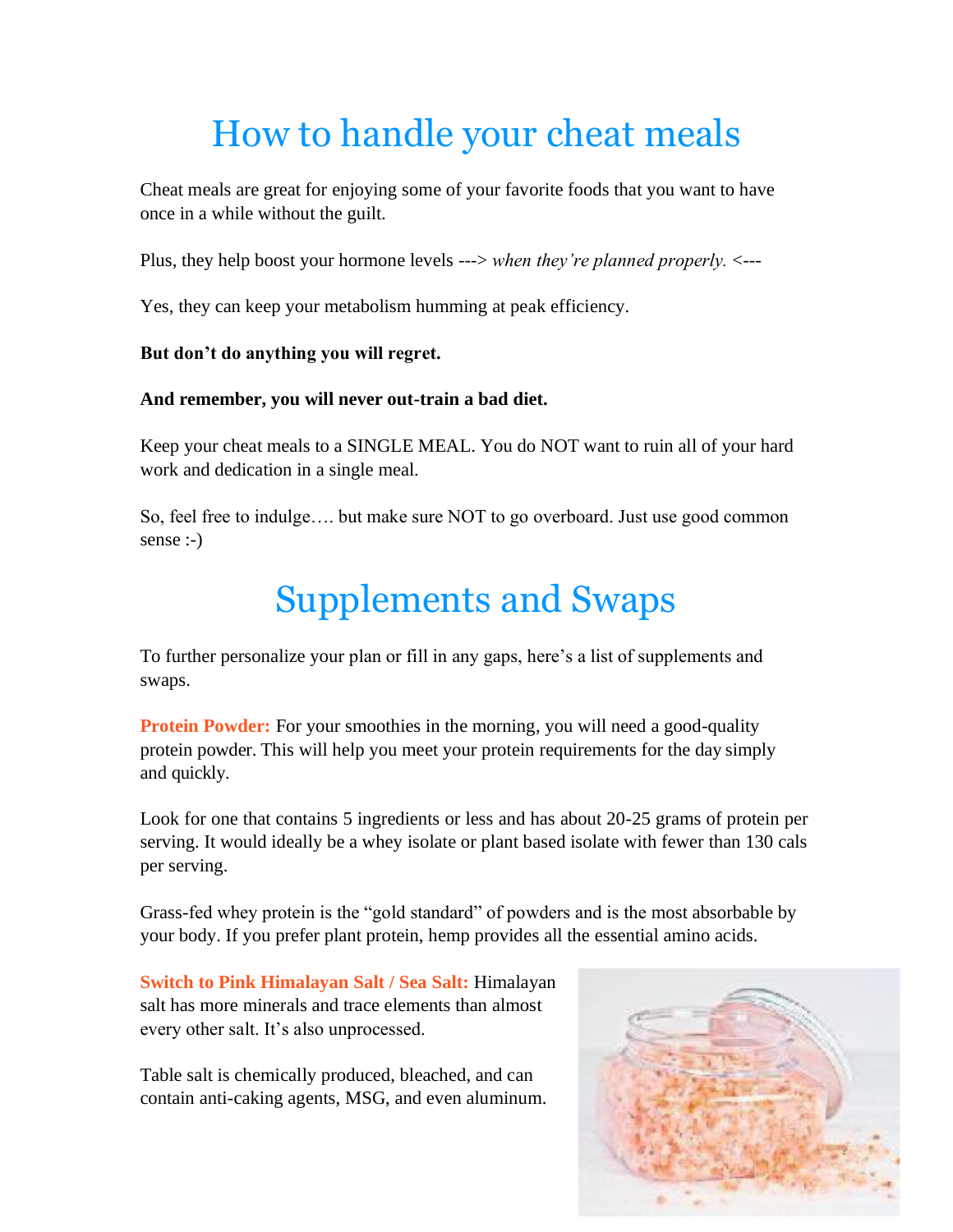## How to handle your cheat meals

Cheat meals are great for enjoying some of your favorite foods that you want to have once in a while without the guilt.

Plus, they help boost your hormone levels ---> *when they're planned properly.* <---

Yes, they can keep your metabolism humming at peak efficiency.

#### **But don't do anything you will regret.**

#### **And remember, you will never out-train a bad diet.**

Keep your cheat meals to a SINGLE MEAL. You do NOT want to ruin all of your hard work and dedication in a single meal.

So, feel free to indulge…. but make sure NOT to go overboard. Just use good common sense :-)

## Supplements and Swaps

To further personalize your plan or fill in any gaps, here's a list of supplements and swaps.

**Protein Powder:** For your smoothies in the morning, you will need a good-quality protein powder. This will help you meet your protein requirements for the day simply and quickly.

Look for one that contains 5 ingredients or less and has about 20-25 grams of protein per serving. It would ideally be a whey isolate or plant based isolate with fewer than 130 cals per serving.

Grass-fed whey protein is the "gold standard" of powders and is the most absorbable by your body. If you prefer plant protein, hemp provides all the essential amino acids.

**Switch to Pink Himalayan Salt / Sea Salt:** Himalayan salt has more minerals and trace elements than almost every other salt. It's also unprocessed.

Table salt is chemically produced, bleached, and can contain anti-caking agents, MSG, and even aluminum.

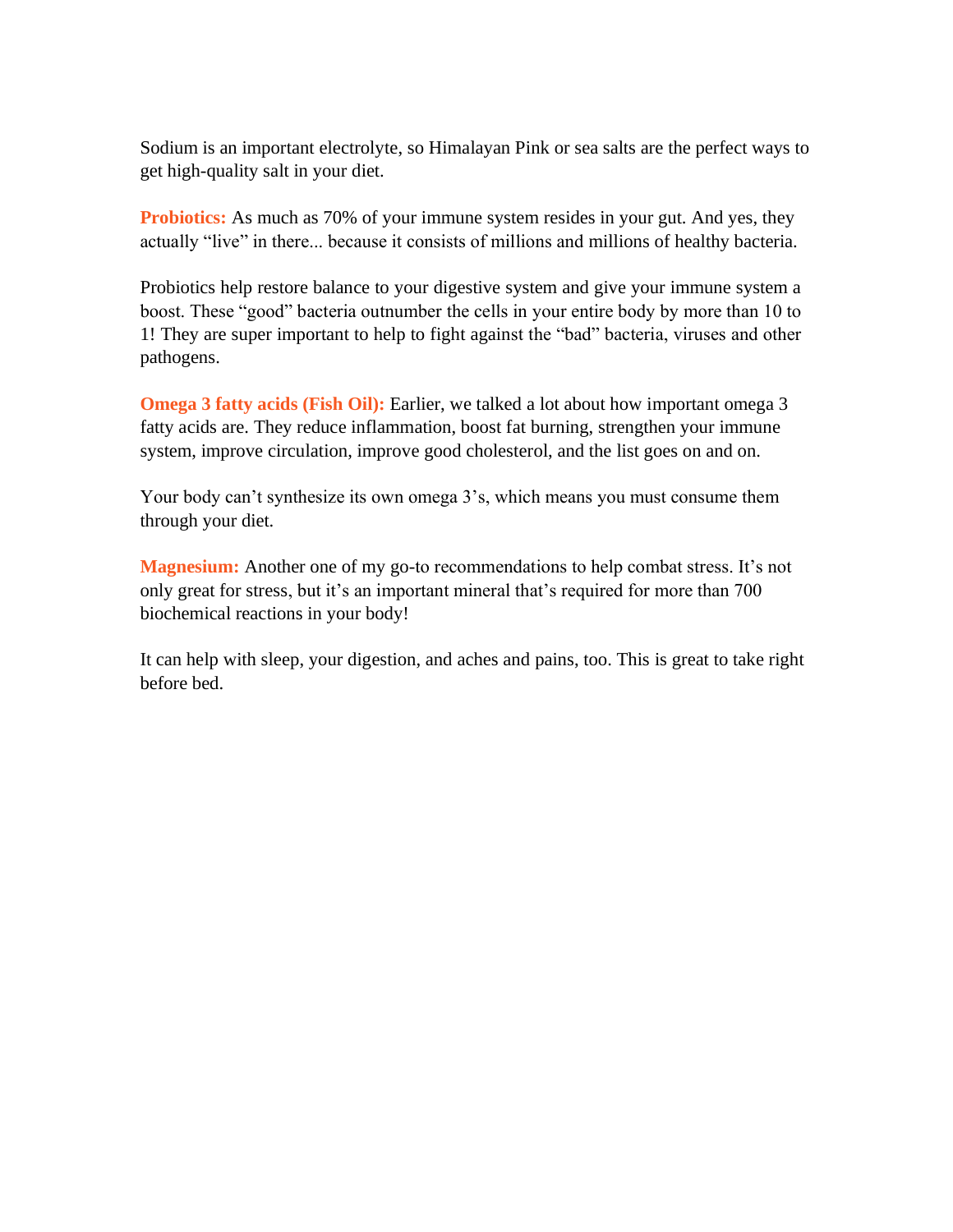Sodium is an important electrolyte, so Himalayan Pink or sea salts are the perfect ways to get high-quality salt in your diet.

**Probiotics:** As much as 70% of your immune system resides in your gut. And yes, they actually "live" in there... because it consists of millions and millions of healthy bacteria.

Probiotics help restore balance to your digestive system and give your immune system a boost. These "good" bacteria outnumber the cells in your entire body by more than 10 to 1! They are super important to help to fight against the "bad" bacteria, viruses and other pathogens.

**Omega 3 fatty acids (Fish Oil):** Earlier, we talked a lot about how important omega 3 fatty acids are. They reduce inflammation, boost fat burning, strengthen your immune system, improve circulation, improve good cholesterol, and the list goes on and on.

Your body can't synthesize its own omega 3's, which means you must consume them through your diet.

**Magnesium:** Another one of my go-to recommendations to help combat stress. It's not only great for stress, but it's an important mineral that's required for more than 700 biochemical reactions in your body!

It can help with sleep, your digestion, and aches and pains, too. This is great to take right before bed.